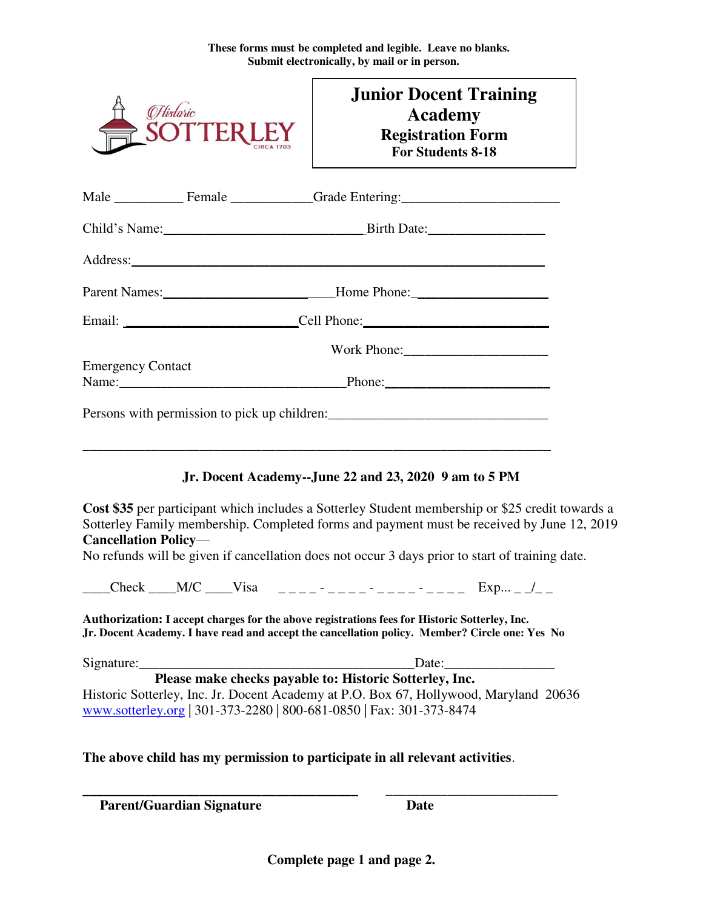**These forms must be completed and legible. Leave no blanks. Submit electronically, by mail or in person.** 

|                             | <b>Historic</b><br><b>SOTTERL</b> | <b>Junior Docent Training</b><br><b>Academy</b><br><b>Registration Form</b><br>For Students 8-18                                                                                                                                                                                                                                                                                                                                                                                    |
|-----------------------------|-----------------------------------|-------------------------------------------------------------------------------------------------------------------------------------------------------------------------------------------------------------------------------------------------------------------------------------------------------------------------------------------------------------------------------------------------------------------------------------------------------------------------------------|
|                             |                                   |                                                                                                                                                                                                                                                                                                                                                                                                                                                                                     |
|                             |                                   |                                                                                                                                                                                                                                                                                                                                                                                                                                                                                     |
|                             |                                   | Address: <u>Address</u> and the contract of the contract of the contract of the contract of the contract of the contract of the contract of the contract of the contract of the contract of the contract of the contract of the con                                                                                                                                                                                                                                                 |
|                             |                                   | Parent Names: __________________________________Home Phone: _____________________                                                                                                                                                                                                                                                                                                                                                                                                   |
|                             |                                   |                                                                                                                                                                                                                                                                                                                                                                                                                                                                                     |
|                             |                                   |                                                                                                                                                                                                                                                                                                                                                                                                                                                                                     |
| <b>Emergency Contact</b>    |                                   |                                                                                                                                                                                                                                                                                                                                                                                                                                                                                     |
|                             |                                   | Persons with permission to pick up children:                                                                                                                                                                                                                                                                                                                                                                                                                                        |
| <b>Cancellation Policy-</b> |                                   | <u> 1989 - Johann Harry Harry Harry Harry Harry Harry Harry Harry Harry Harry Harry Harry Harry Harry Harry Harry</u><br>Jr. Docent Academy--June 22 and 23, 2020 9 am to 5 PM<br>Cost \$35 per participant which includes a Sotterley Student membership or \$25 credit towards a<br>Sotterley Family membership. Completed forms and payment must be received by June 12, 2019<br>No refunds will be given if cancellation does not occur 3 days prior to start of training date. |
|                             |                                   | Check ___M/C ____Visa _____- ____- ____- ____ Exp __/__                                                                                                                                                                                                                                                                                                                                                                                                                             |
|                             |                                   | Authorization: I accept charges for the above registrations fees for Historic Sotterley, Inc.<br>Jr. Docent Academy. I have read and accept the cancellation policy. Member? Circle one: Yes No                                                                                                                                                                                                                                                                                     |
|                             |                                   |                                                                                                                                                                                                                                                                                                                                                                                                                                                                                     |
|                             |                                   | Please make checks payable to: Historic Sotterley, Inc.<br>Historic Sotterley, Inc. Jr. Docent Academy at P.O. Box 67, Hollywood, Maryland 20636<br>www.sotterley.org   301-373-2280   800-681-0850   Fax: 301-373-8474                                                                                                                                                                                                                                                             |
|                             |                                   | The above child has my permission to participate in all relevant activities.                                                                                                                                                                                                                                                                                                                                                                                                        |
|                             | <b>Parent/Guardian Signature</b>  | Date                                                                                                                                                                                                                                                                                                                                                                                                                                                                                |